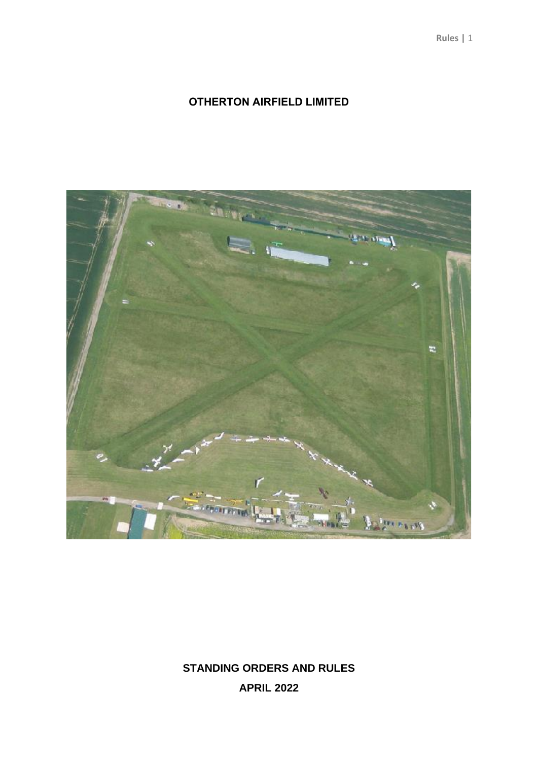# **OTHERTON AIRFIELD LIMITED**



**STANDING ORDERS AND RULES APRIL 2022**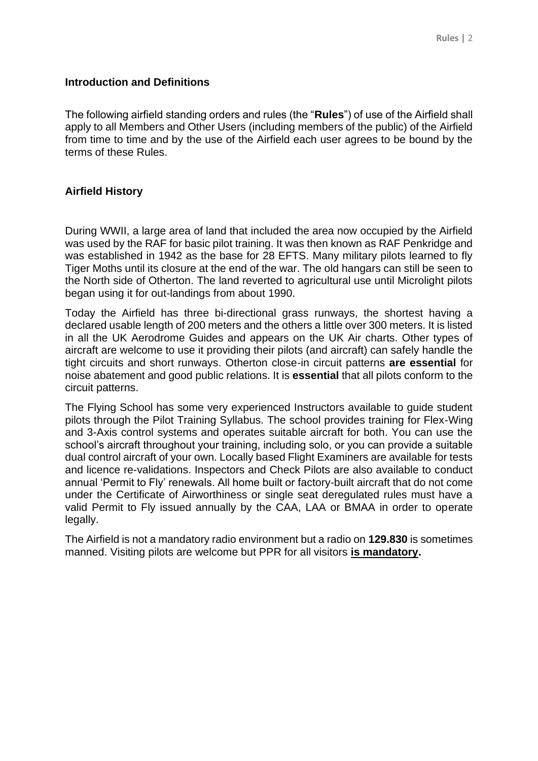# **Introduction and Definitions**

The following airfield standing orders and rules (the "**Rules**") of use of the Airfield shall apply to all Members and Other Users (including members of the public) of the Airfield from time to time and by the use of the Airfield each user agrees to be bound by the terms of these Rules.

# **Airfield History**

During WWII, a large area of land that included the area now occupied by the Airfield was used by the RAF for basic pilot training. It was then known as RAF Penkridge and was established in 1942 as the base for 28 EFTS. Many military pilots learned to fly Tiger Moths until its closure at the end of the war. The old hangars can still be seen to the North side of Otherton. The land reverted to agricultural use until Microlight pilots began using it for out-landings from about 1990.

Today the Airfield has three bi-directional grass runways, the shortest having a declared usable length of 200 meters and the others a little over 300 meters. It is listed in all the UK Aerodrome Guides and appears on the UK Air charts. Other types of aircraft are welcome to use it providing their pilots (and aircraft) can safely handle the tight circuits and short runways. Otherton close-in circuit patterns **are essential** for noise abatement and good public relations. It is **essential** that all pilots conform to the circuit patterns.

The Flying School has some very experienced Instructors available to guide student pilots through the Pilot Training Syllabus. The school provides training for Flex-Wing and 3-Axis control systems and operates suitable aircraft for both. You can use the school's aircraft throughout your training, including solo, or you can provide a suitable dual control aircraft of your own. Locally based Flight Examiners are available for tests and licence re-validations. Inspectors and Check Pilots are also available to conduct annual 'Permit to Fly' renewals. All home built or factory-built aircraft that do not come under the Certificate of Airworthiness or single seat deregulated rules must have a valid Permit to Fly issued annually by the CAA, LAA or BMAA in order to operate legally.

The Airfield is not a mandatory radio environment but a radio on **129.830** is sometimes manned. Visiting pilots are welcome but PPR for all visitors **is mandatory.**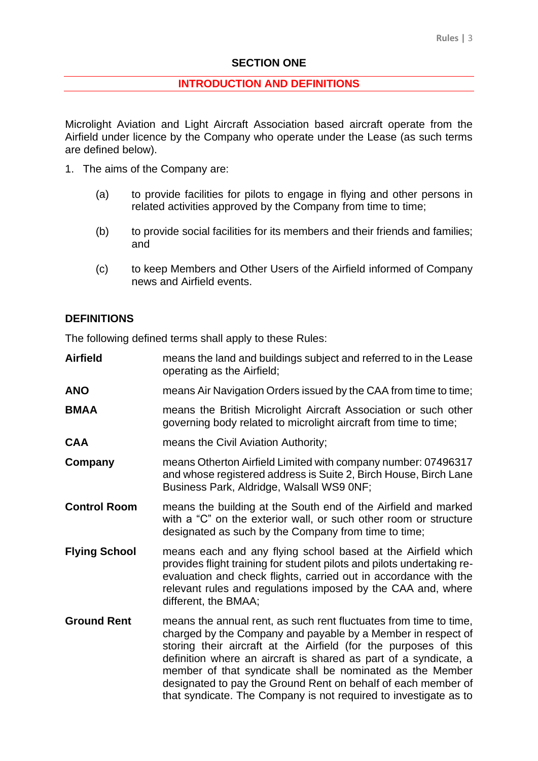# **SECTION ONE**

#### **INTRODUCTION AND DEFINITIONS**

Microlight Aviation and Light Aircraft Association based aircraft operate from the Airfield under licence by the Company who operate under the Lease (as such terms are defined below).

- 1. The aims of the Company are:
	- (a) to provide facilities for pilots to engage in flying and other persons in related activities approved by the Company from time to time;
	- (b) to provide social facilities for its members and their friends and families; and
	- (c) to keep Members and Other Users of the Airfield informed of Company news and Airfield events.

# **DEFINITIONS**

The following defined terms shall apply to these Rules:

- **Airfield** means the land and buildings subject and referred to in the Lease operating as the Airfield;
- **ANO** means Air Navigation Orders issued by the CAA from time to time;
- **BMAA** means the British Microlight Aircraft Association or such other governing body related to microlight aircraft from time to time;
- **CAA** means the Civil Aviation Authority;
- **Company** means Otherton Airfield Limited with company number: 07496317 and whose registered address is Suite 2, Birch House, Birch Lane Business Park, Aldridge, Walsall WS9 0NF;
- **Control Room** means the building at the South end of the Airfield and marked with a "C" on the exterior wall, or such other room or structure designated as such by the Company from time to time;
- **Flying School** means each and any flying school based at the Airfield which provides flight training for student pilots and pilots undertaking reevaluation and check flights, carried out in accordance with the relevant rules and regulations imposed by the CAA and, where different, the BMAA;
- **Ground Rent** means the annual rent, as such rent fluctuates from time to time, charged by the Company and payable by a Member in respect of storing their aircraft at the Airfield (for the purposes of this definition where an aircraft is shared as part of a syndicate, a member of that syndicate shall be nominated as the Member designated to pay the Ground Rent on behalf of each member of that syndicate. The Company is not required to investigate as to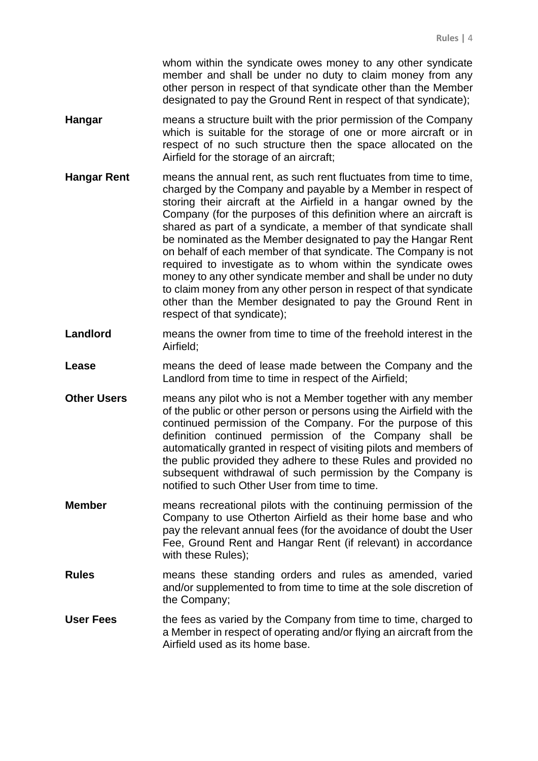whom within the syndicate owes money to any other syndicate member and shall be under no duty to claim money from any other person in respect of that syndicate other than the Member designated to pay the Ground Rent in respect of that syndicate);

- **Hangar** means a structure built with the prior permission of the Company which is suitable for the storage of one or more aircraft or in respect of no such structure then the space allocated on the Airfield for the storage of an aircraft;
- **Hangar Rent** means the annual rent, as such rent fluctuates from time to time, charged by the Company and payable by a Member in respect of storing their aircraft at the Airfield in a hangar owned by the Company (for the purposes of this definition where an aircraft is shared as part of a syndicate, a member of that syndicate shall be nominated as the Member designated to pay the Hangar Rent on behalf of each member of that syndicate. The Company is not required to investigate as to whom within the syndicate owes money to any other syndicate member and shall be under no duty to claim money from any other person in respect of that syndicate other than the Member designated to pay the Ground Rent in respect of that syndicate);
- **Landlord** means the owner from time to time of the freehold interest in the Airfield;
- **Lease** means the deed of lease made between the Company and the Landlord from time to time in respect of the Airfield;
- **Other Users** means any pilot who is not a Member together with any member of the public or other person or persons using the Airfield with the continued permission of the Company. For the purpose of this definition continued permission of the Company shall be automatically granted in respect of visiting pilots and members of the public provided they adhere to these Rules and provided no subsequent withdrawal of such permission by the Company is notified to such Other User from time to time.
- **Member** means recreational pilots with the continuing permission of the Company to use Otherton Airfield as their home base and who pay the relevant annual fees (for the avoidance of doubt the User Fee, Ground Rent and Hangar Rent (if relevant) in accordance with these Rules);
- **Rules** means these standing orders and rules as amended, varied and/or supplemented to from time to time at the sole discretion of the Company;
- **User Fees** the fees as varied by the Company from time to time, charged to a Member in respect of operating and/or flying an aircraft from the Airfield used as its home base.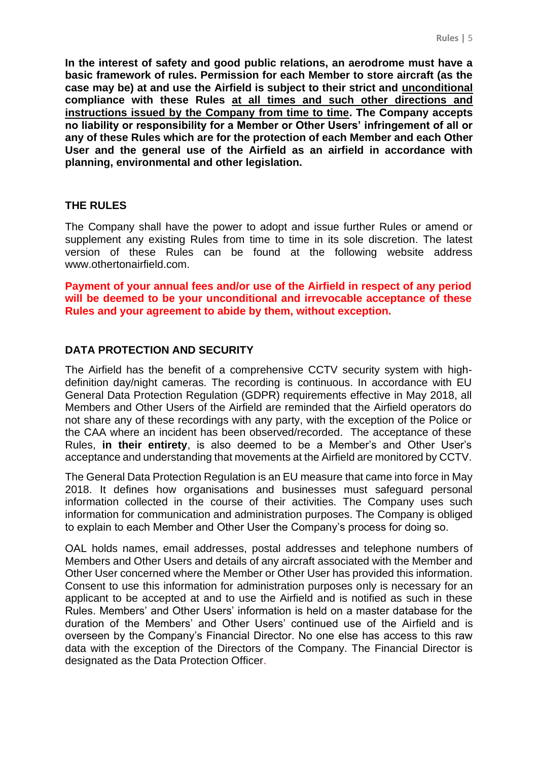**In the interest of safety and good public relations, an aerodrome must have a basic framework of rules. Permission for each Member to store aircraft (as the case may be) at and use the Airfield is subject to their strict and unconditional compliance with these Rules at all times and such other directions and instructions issued by the Company from time to time. The Company accepts no liability or responsibility for a Member or Other Users' infringement of all or any of these Rules which are for the protection of each Member and each Other User and the general use of the Airfield as an airfield in accordance with planning, environmental and other legislation.**

#### **THE RULES**

The Company shall have the power to adopt and issue further Rules or amend or supplement any existing Rules from time to time in its sole discretion. The latest version of these Rules can be found at the following website address www.othertonairfield.com.

**Payment of your annual fees and/or use of the Airfield in respect of any period will be deemed to be your unconditional and irrevocable acceptance of these Rules and your agreement to abide by them, without exception.**

# **DATA PROTECTION AND SECURITY**

The Airfield has the benefit of a comprehensive CCTV security system with highdefinition day/night cameras. The recording is continuous. In accordance with EU General Data Protection Regulation (GDPR) requirements effective in May 2018, all Members and Other Users of the Airfield are reminded that the Airfield operators do not share any of these recordings with any party, with the exception of the Police or the CAA where an incident has been observed/recorded. The acceptance of these Rules, **in their entirety**, is also deemed to be a Member's and Other User's acceptance and understanding that movements at the Airfield are monitored by CCTV.

The General Data Protection Regulation is an EU measure that came into force in May 2018. It defines how organisations and businesses must safeguard personal information collected in the course of their activities. The Company uses such information for communication and administration purposes. The Company is obliged to explain to each Member and Other User the Company's process for doing so.

OAL holds names, email addresses, postal addresses and telephone numbers of Members and Other Users and details of any aircraft associated with the Member and Other User concerned where the Member or Other User has provided this information. Consent to use this information for administration purposes only is necessary for an applicant to be accepted at and to use the Airfield and is notified as such in these Rules. Members' and Other Users' information is held on a master database for the duration of the Members' and Other Users' continued use of the Airfield and is overseen by the Company's Financial Director. No one else has access to this raw data with the exception of the Directors of the Company. The Financial Director is designated as the Data Protection Officer.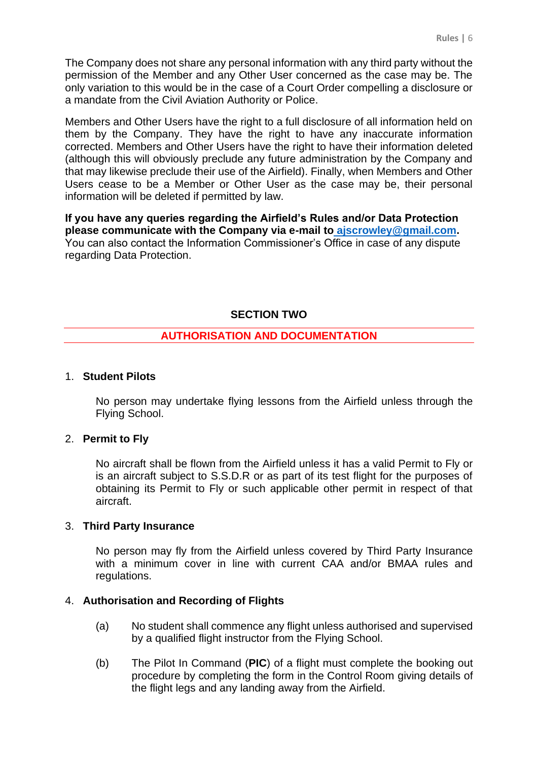The Company does not share any personal information with any third party without the permission of the Member and any Other User concerned as the case may be. The only variation to this would be in the case of a Court Order compelling a disclosure or a mandate from the Civil Aviation Authority or Police.

Members and Other Users have the right to a full disclosure of all information held on them by the Company. They have the right to have any inaccurate information corrected. Members and Other Users have the right to have their information deleted (although this will obviously preclude any future administration by the Company and that may likewise preclude their use of the Airfield). Finally, when Members and Other Users cease to be a Member or Other User as the case may be, their personal information will be deleted if permitted by law.

**If you have any queries regarding the Airfield's Rules and/or Data Protection please communicate with the Company via e-mail to ajscrowley@gmail.com.**  You can also contact the Information Commissioner's Office in case of any dispute regarding Data Protection.

# **SECTION TWO**

# **AUTHORISATION AND DOCUMENTATION**

# 1. **Student Pilots**

No person may undertake flying lessons from the Airfield unless through the Flying School.

#### 2. **Permit to Fly**

No aircraft shall be flown from the Airfield unless it has a valid Permit to Fly or is an aircraft subject to S.S.D.R or as part of its test flight for the purposes of obtaining its Permit to Fly or such applicable other permit in respect of that aircraft.

#### 3. **Third Party Insurance**

No person may fly from the Airfield unless covered by Third Party Insurance with a minimum cover in line with current CAA and/or BMAA rules and regulations.

# 4. **Authorisation and Recording of Flights**

- (a) No student shall commence any flight unless authorised and supervised by a qualified flight instructor from the Flying School.
- (b) The Pilot In Command (**PIC**) of a flight must complete the booking out procedure by completing the form in the Control Room giving details of the flight legs and any landing away from the Airfield.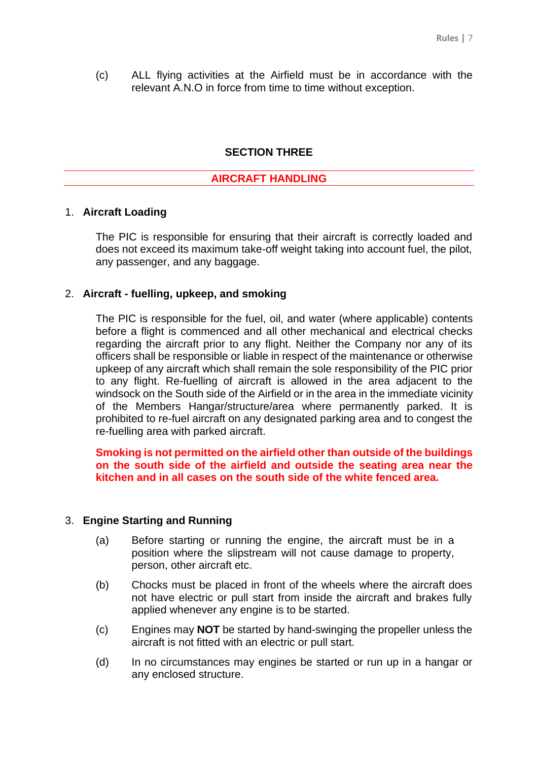(c) ALL flying activities at the Airfield must be in accordance with the relevant A.N.O in force from time to time without exception.

#### **SECTION THREE**

#### **AIRCRAFT HANDLING**

#### 1. **Aircraft Loading**

The PIC is responsible for ensuring that their aircraft is correctly loaded and does not exceed its maximum take-off weight taking into account fuel, the pilot, any passenger, and any baggage.

#### 2. **Aircraft - fuelling, upkeep, and smoking**

The PIC is responsible for the fuel, oil, and water (where applicable) contents before a flight is commenced and all other mechanical and electrical checks regarding the aircraft prior to any flight. Neither the Company nor any of its officers shall be responsible or liable in respect of the maintenance or otherwise upkeep of any aircraft which shall remain the sole responsibility of the PIC prior to any flight. Re-fuelling of aircraft is allowed in the area adjacent to the windsock on the South side of the Airfield or in the area in the immediate vicinity of the Members Hangar/structure/area where permanently parked. It is prohibited to re-fuel aircraft on any designated parking area and to congest the re-fuelling area with parked aircraft.

# **Smoking is not permitted on the airfield other than outside of the buildings on the south side of the airfield and outside the seating area near the kitchen and in all cases on the south side of the white fenced area.**

#### 3. **Engine Starting and Running**

- (a) Before starting or running the engine, the aircraft must be in a position where the slipstream will not cause damage to property, person, other aircraft etc.
- (b) Chocks must be placed in front of the wheels where the aircraft does not have electric or pull start from inside the aircraft and brakes fully applied whenever any engine is to be started.
- (c) Engines may **NOT** be started by hand-swinging the propeller unless the aircraft is not fitted with an electric or pull start.
- (d) In no circumstances may engines be started or run up in a hangar or any enclosed structure.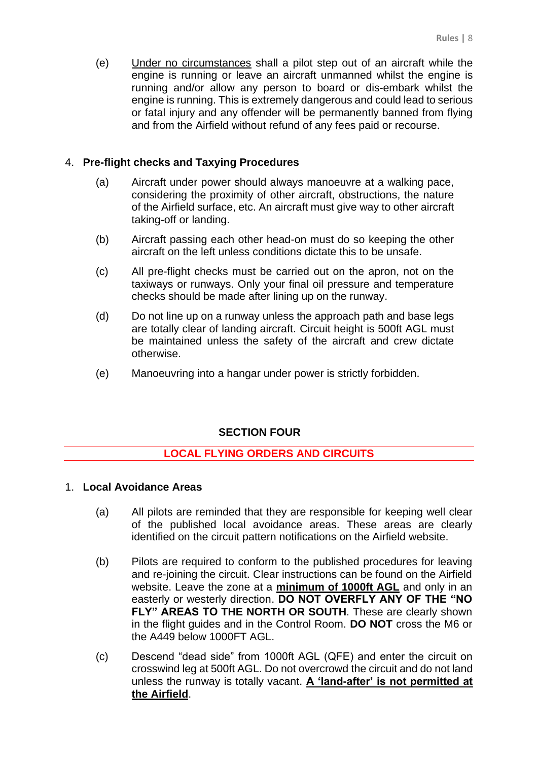(e) Under no circumstances shall a pilot step out of an aircraft while the engine is running or leave an aircraft unmanned whilst the engine is running and/or allow any person to board or dis-embark whilst the engine is running. This is extremely dangerous and could lead to serious or fatal injury and any offender will be permanently banned from flying and from the Airfield without refund of any fees paid or recourse.

# 4. **Pre-flight checks and Taxying Procedures**

- (a) Aircraft under power should always manoeuvre at a walking pace, considering the proximity of other aircraft, obstructions, the nature of the Airfield surface, etc. An aircraft must give way to other aircraft taking-off or landing.
- (b) Aircraft passing each other head-on must do so keeping the other aircraft on the left unless conditions dictate this to be unsafe.
- (c) All pre-flight checks must be carried out on the apron, not on the taxiways or runways. Only your final oil pressure and temperature checks should be made after lining up on the runway.
- (d) Do not line up on a runway unless the approach path and base legs are totally clear of landing aircraft. Circuit height is 500ft AGL must be maintained unless the safety of the aircraft and crew dictate otherwise.
- (e) Manoeuvring into a hangar under power is strictly forbidden.

# **SECTION FOUR**

# **LOCAL FLYING ORDERS AND CIRCUITS**

#### 1. **Local Avoidance Areas**

- (a) All pilots are reminded that they are responsible for keeping well clear of the published local avoidance areas. These areas are clearly identified on the circuit pattern notifications on the Airfield website.
- (b) Pilots are required to conform to the published procedures for leaving and re-joining the circuit. Clear instructions can be found on the Airfield website. Leave the zone at a **minimum of 1000ft AGL** and only in an easterly or westerly direction. **DO NOT OVERFLY ANY OF THE "NO FLY" AREAS TO THE NORTH OR SOUTH.** These are clearly shown in the flight guides and in the Control Room. **DO NOT** cross the M6 or the A449 below 1000FT AGL.
- (c) Descend "dead side" from 1000ft AGL (QFE) and enter the circuit on crosswind leg at 500ft AGL. Do not overcrowd the circuit and do not land unless the runway is totally vacant. **A 'land-after' is not permitted at the Airfield**.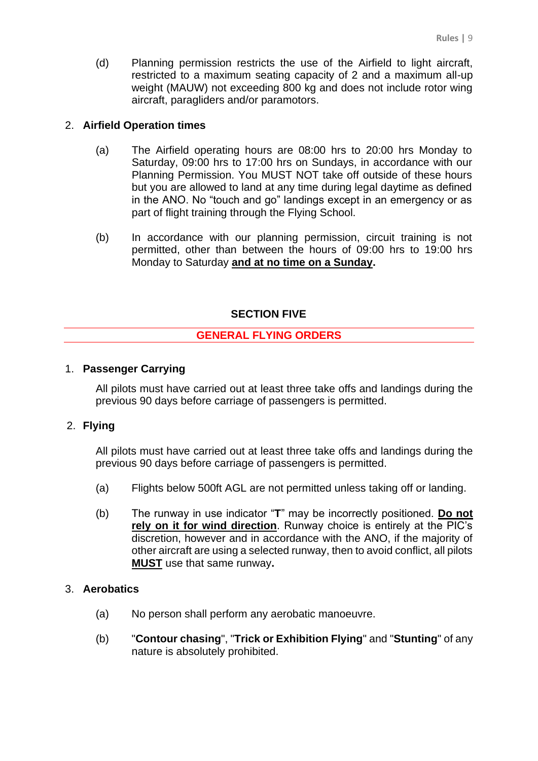(d) Planning permission restricts the use of the Airfield to light aircraft, restricted to a maximum seating capacity of 2 and a maximum all-up weight (MAUW) not exceeding 800 kg and does not include rotor wing aircraft, paragliders and/or paramotors.

# 2. **Airfield Operation times**

- (a) The Airfield operating hours are 08:00 hrs to 20:00 hrs Monday to Saturday, 09:00 hrs to 17:00 hrs on Sundays, in accordance with our Planning Permission. You MUST NOT take off outside of these hours but you are allowed to land at any time during legal daytime as defined in the ANO. No "touch and go" landings except in an emergency or as part of flight training through the Flying School.
- (b) In accordance with our planning permission, circuit training is not permitted, other than between the hours of 09:00 hrs to 19:00 hrs Monday to Saturday **and at no time on a Sunday.**

# **SECTION FIVE**

# **GENERAL FLYING ORDERS**

# 1. **Passenger Carrying**

All pilots must have carried out at least three take offs and landings during the previous 90 days before carriage of passengers is permitted.

#### 2. **Flying**

All pilots must have carried out at least three take offs and landings during the previous 90 days before carriage of passengers is permitted.

- (a) Flights below 500ft AGL are not permitted unless taking off or landing.
- (b) The runway in use indicator "**T**" may be incorrectly positioned. **Do not rely on it for wind direction**. Runway choice is entirely at the PIC's discretion, however and in accordance with the ANO, if the majority of other aircraft are using a selected runway, then to avoid conflict, all pilots **MUST** use that same runway**.**

#### 3. **Aerobatics**

- (a) No person shall perform any aerobatic manoeuvre.
- (b) "**Contour chasing**", "**Trick or Exhibition Flying**" and "**Stunting**" of any nature is absolutely prohibited.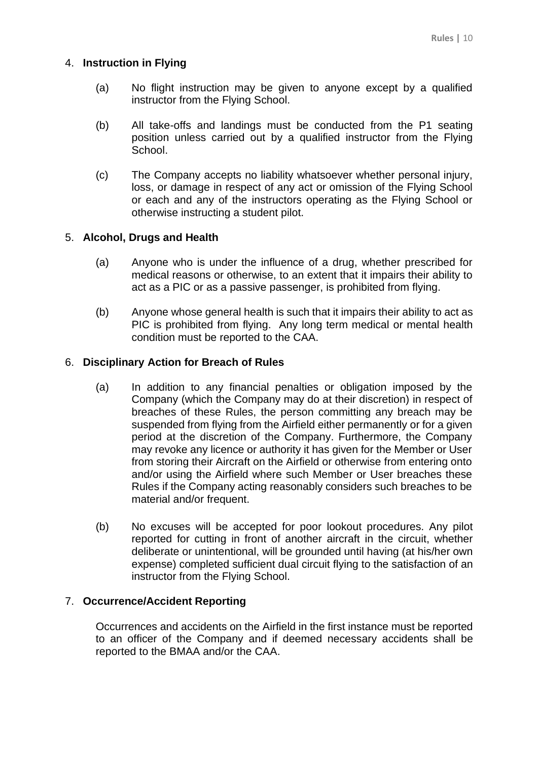# 4. **Instruction in Flying**

- (a) No flight instruction may be given to anyone except by a qualified instructor from the Flying School.
- (b) All take-offs and landings must be conducted from the P1 seating position unless carried out by a qualified instructor from the Flying School.
- (c) The Company accepts no liability whatsoever whether personal injury, loss, or damage in respect of any act or omission of the Flying School or each and any of the instructors operating as the Flying School or otherwise instructing a student pilot.

# 5. **Alcohol, Drugs and Health**

- (a) Anyone who is under the influence of a drug, whether prescribed for medical reasons or otherwise, to an extent that it impairs their ability to act as a PIC or as a passive passenger, is prohibited from flying.
- (b) Anyone whose general health is such that it impairs their ability to act as PIC is prohibited from flying. Any long term medical or mental health condition must be reported to the CAA.

# 6. **Disciplinary Action for Breach of Rules**

- (a) In addition to any financial penalties or obligation imposed by the Company (which the Company may do at their discretion) in respect of breaches of these Rules, the person committing any breach may be suspended from flying from the Airfield either permanently or for a given period at the discretion of the Company. Furthermore, the Company may revoke any licence or authority it has given for the Member or User from storing their Aircraft on the Airfield or otherwise from entering onto and/or using the Airfield where such Member or User breaches these Rules if the Company acting reasonably considers such breaches to be material and/or frequent.
- (b) No excuses will be accepted for poor lookout procedures. Any pilot reported for cutting in front of another aircraft in the circuit, whether deliberate or unintentional, will be grounded until having (at his/her own expense) completed sufficient dual circuit flying to the satisfaction of an instructor from the Flying School.

# 7. **Occurrence/Accident Reporting**

Occurrences and accidents on the Airfield in the first instance must be reported to an officer of the Company and if deemed necessary accidents shall be reported to the BMAA and/or the CAA.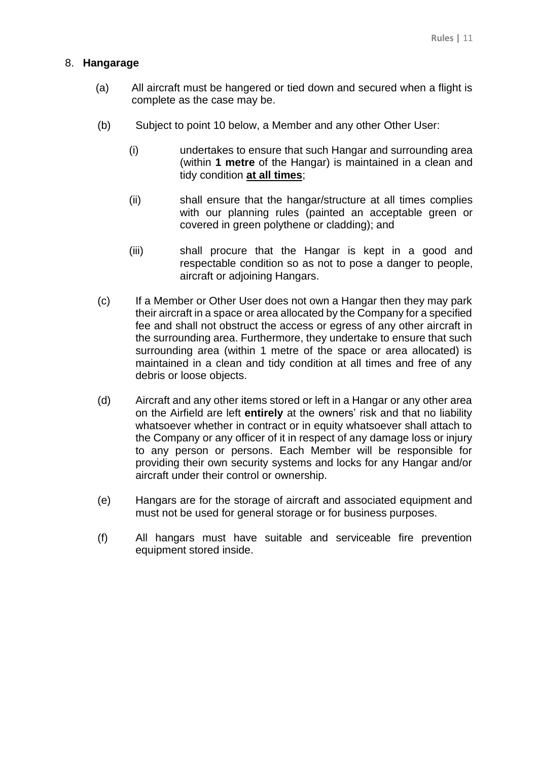# 8. **Hangarage**

- (a) All aircraft must be hangered or tied down and secured when a flight is complete as the case may be.
- (b) Subject to point 10 below, a Member and any other Other User:
	- (i) undertakes to ensure that such Hangar and surrounding area (within **1 metre** of the Hangar) is maintained in a clean and tidy condition **at all times**;
	- (ii) shall ensure that the hangar/structure at all times complies with our planning rules (painted an acceptable green or covered in green polythene or cladding); and
	- (iii) shall procure that the Hangar is kept in a good and respectable condition so as not to pose a danger to people, aircraft or adjoining Hangars.
- (c) If a Member or Other User does not own a Hangar then they may park their aircraft in a space or area allocated by the Company for a specified fee and shall not obstruct the access or egress of any other aircraft in the surrounding area. Furthermore, they undertake to ensure that such surrounding area (within 1 metre of the space or area allocated) is maintained in a clean and tidy condition at all times and free of any debris or loose objects.
- (d) Aircraft and any other items stored or left in a Hangar or any other area on the Airfield are left **entirely** at the owners' risk and that no liability whatsoever whether in contract or in equity whatsoever shall attach to the Company or any officer of it in respect of any damage loss or injury to any person or persons. Each Member will be responsible for providing their own security systems and locks for any Hangar and/or aircraft under their control or ownership.
- (e) Hangars are for the storage of aircraft and associated equipment and must not be used for general storage or for business purposes.
- (f) All hangars must have suitable and serviceable fire prevention equipment stored inside.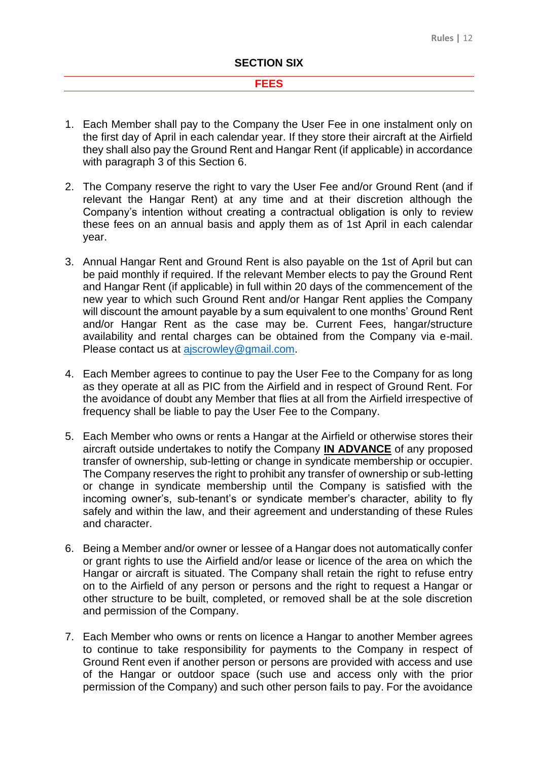#### **FEES**

- 1. Each Member shall pay to the Company the User Fee in one instalment only on the first day of April in each calendar year. If they store their aircraft at the Airfield they shall also pay the Ground Rent and Hangar Rent (if applicable) in accordance with paragraph 3 of this Section 6.
- 2. The Company reserve the right to vary the User Fee and/or Ground Rent (and if relevant the Hangar Rent) at any time and at their discretion although the Company's intention without creating a contractual obligation is only to review these fees on an annual basis and apply them as of 1st April in each calendar year.
- 3. Annual Hangar Rent and Ground Rent is also payable on the 1st of April but can be paid monthly if required. If the relevant Member elects to pay the Ground Rent and Hangar Rent (if applicable) in full within 20 days of the commencement of the new year to which such Ground Rent and/or Hangar Rent applies the Company will discount the amount payable by a sum equivalent to one months' Ground Rent and/or Hangar Rent as the case may be. Current Fees, hangar/structure availability and rental charges can be obtained from the Company via e-mail. Please contact us at [ajscrowley@gmail.com.](mailto:ajscrowley@gmail.com)
- 4. Each Member agrees to continue to pay the User Fee to the Company for as long as they operate at all as PIC from the Airfield and in respect of Ground Rent. For the avoidance of doubt any Member that flies at all from the Airfield irrespective of frequency shall be liable to pay the User Fee to the Company.
- 5. Each Member who owns or rents a Hangar at the Airfield or otherwise stores their aircraft outside undertakes to notify the Company **IN ADVANCE** of any proposed transfer of ownership, sub-letting or change in syndicate membership or occupier. The Company reserves the right to prohibit any transfer of ownership or sub-letting or change in syndicate membership until the Company is satisfied with the incoming owner's, sub-tenant's or syndicate member's character, ability to fly safely and within the law, and their agreement and understanding of these Rules and character.
- 6. Being a Member and/or owner or lessee of a Hangar does not automatically confer or grant rights to use the Airfield and/or lease or licence of the area on which the Hangar or aircraft is situated. The Company shall retain the right to refuse entry on to the Airfield of any person or persons and the right to request a Hangar or other structure to be built, completed, or removed shall be at the sole discretion and permission of the Company.
- 7. Each Member who owns or rents on licence a Hangar to another Member agrees to continue to take responsibility for payments to the Company in respect of Ground Rent even if another person or persons are provided with access and use of the Hangar or outdoor space (such use and access only with the prior permission of the Company) and such other person fails to pay. For the avoidance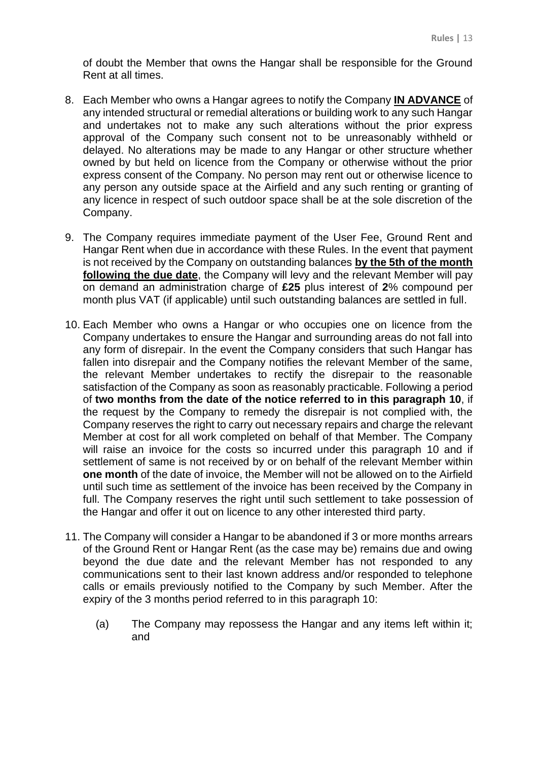of doubt the Member that owns the Hangar shall be responsible for the Ground Rent at all times.

- 8. Each Member who owns a Hangar agrees to notify the Company **IN ADVANCE** of any intended structural or remedial alterations or building work to any such Hangar and undertakes not to make any such alterations without the prior express approval of the Company such consent not to be unreasonably withheld or delayed. No alterations may be made to any Hangar or other structure whether owned by but held on licence from the Company or otherwise without the prior express consent of the Company. No person may rent out or otherwise licence to any person any outside space at the Airfield and any such renting or granting of any licence in respect of such outdoor space shall be at the sole discretion of the Company.
- 9. The Company requires immediate payment of the User Fee, Ground Rent and Hangar Rent when due in accordance with these Rules. In the event that payment is not received by the Company on outstanding balances **by the 5th of the month following the due date**, the Company will levy and the relevant Member will pay on demand an administration charge of **£25** plus interest of **2**% compound per month plus VAT (if applicable) until such outstanding balances are settled in full.
- 10. Each Member who owns a Hangar or who occupies one on licence from the Company undertakes to ensure the Hangar and surrounding areas do not fall into any form of disrepair. In the event the Company considers that such Hangar has fallen into disrepair and the Company notifies the relevant Member of the same, the relevant Member undertakes to rectify the disrepair to the reasonable satisfaction of the Company as soon as reasonably practicable. Following a period of **two months from the date of the notice referred to in this paragraph 10**, if the request by the Company to remedy the disrepair is not complied with, the Company reserves the right to carry out necessary repairs and charge the relevant Member at cost for all work completed on behalf of that Member. The Company will raise an invoice for the costs so incurred under this paragraph 10 and if settlement of same is not received by or on behalf of the relevant Member within **one month** of the date of invoice, the Member will not be allowed on to the Airfield until such time as settlement of the invoice has been received by the Company in full. The Company reserves the right until such settlement to take possession of the Hangar and offer it out on licence to any other interested third party.
- 11. The Company will consider a Hangar to be abandoned if 3 or more months arrears of the Ground Rent or Hangar Rent (as the case may be) remains due and owing beyond the due date and the relevant Member has not responded to any communications sent to their last known address and/or responded to telephone calls or emails previously notified to the Company by such Member. After the expiry of the 3 months period referred to in this paragraph 10:
	- (a) The Company may repossess the Hangar and any items left within it; and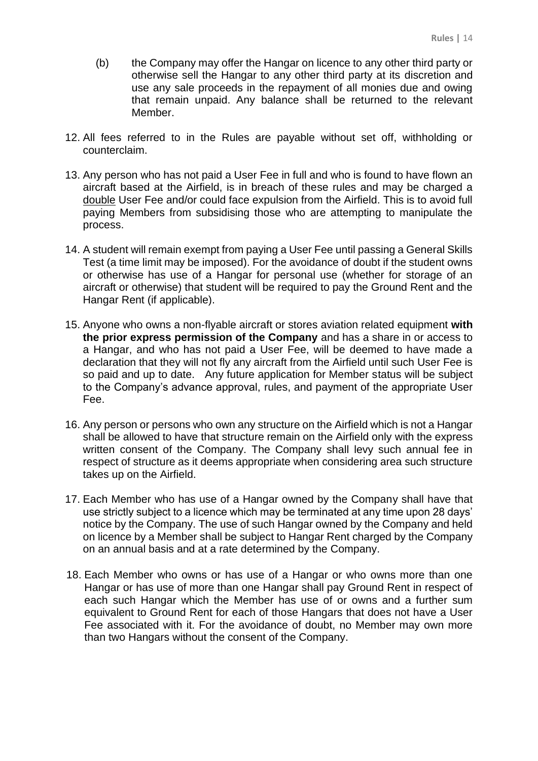- (b) the Company may offer the Hangar on licence to any other third party or otherwise sell the Hangar to any other third party at its discretion and use any sale proceeds in the repayment of all monies due and owing that remain unpaid. Any balance shall be returned to the relevant Member.
- 12. All fees referred to in the Rules are payable without set off, withholding or counterclaim.
- 13. Any person who has not paid a User Fee in full and who is found to have flown an aircraft based at the Airfield, is in breach of these rules and may be charged a double User Fee and/or could face expulsion from the Airfield. This is to avoid full paying Members from subsidising those who are attempting to manipulate the process.
- 14. A student will remain exempt from paying a User Fee until passing a General Skills Test (a time limit may be imposed). For the avoidance of doubt if the student owns or otherwise has use of a Hangar for personal use (whether for storage of an aircraft or otherwise) that student will be required to pay the Ground Rent and the Hangar Rent (if applicable).
- 15. Anyone who owns a non-flyable aircraft or stores aviation related equipment **with the prior express permission of the Company** and has a share in or access to a Hangar, and who has not paid a User Fee, will be deemed to have made a declaration that they will not fly any aircraft from the Airfield until such User Fee is so paid and up to date. Any future application for Member status will be subject to the Company's advance approval, rules, and payment of the appropriate User Fee.
- 16. Any person or persons who own any structure on the Airfield which is not a Hangar shall be allowed to have that structure remain on the Airfield only with the express written consent of the Company. The Company shall levy such annual fee in respect of structure as it deems appropriate when considering area such structure takes up on the Airfield.
- 17. Each Member who has use of a Hangar owned by the Company shall have that use strictly subject to a licence which may be terminated at any time upon 28 days' notice by the Company. The use of such Hangar owned by the Company and held on licence by a Member shall be subject to Hangar Rent charged by the Company on an annual basis and at a rate determined by the Company.
- 18. Each Member who owns or has use of a Hangar or who owns more than one Hangar or has use of more than one Hangar shall pay Ground Rent in respect of each such Hangar which the Member has use of or owns and a further sum equivalent to Ground Rent for each of those Hangars that does not have a User Fee associated with it. For the avoidance of doubt, no Member may own more than two Hangars without the consent of the Company.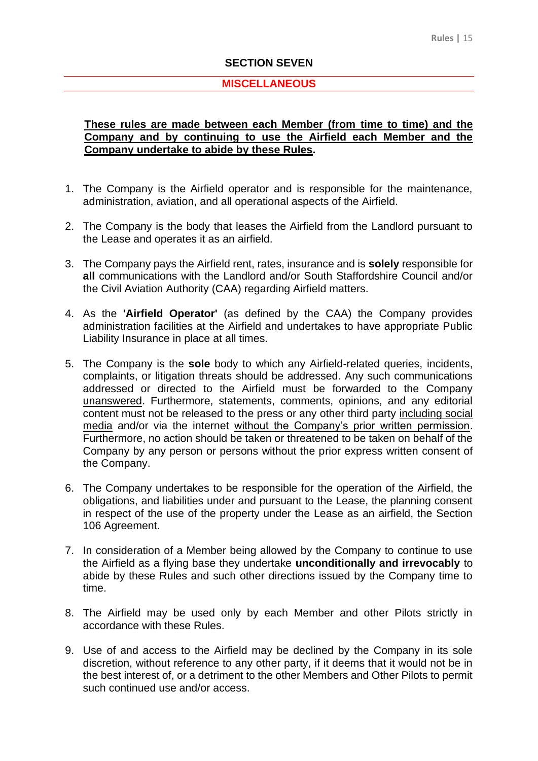#### **SECTION SEVEN**

#### **MISCELLANEOUS**

# **These rules are made between each Member (from time to time) and the Company and by continuing to use the Airfield each Member and the Company undertake to abide by these Rules.**

- 1. The Company is the Airfield operator and is responsible for the maintenance, administration, aviation, and all operational aspects of the Airfield.
- 2. The Company is the body that leases the Airfield from the Landlord pursuant to the Lease and operates it as an airfield.
- 3. The Company pays the Airfield rent, rates, insurance and is **solely** responsible for **all** communications with the Landlord and/or South Staffordshire Council and/or the Civil Aviation Authority (CAA) regarding Airfield matters.
- 4. As the **'Airfield Operator'** (as defined by the CAA) the Company provides administration facilities at the Airfield and undertakes to have appropriate Public Liability Insurance in place at all times.
- 5. The Company is the **sole** body to which any Airfield-related queries, incidents, complaints, or litigation threats should be addressed. Any such communications addressed or directed to the Airfield must be forwarded to the Company unanswered. Furthermore, statements, comments, opinions, and any editorial content must not be released to the press or any other third party including social media and/or via the internet without the Company's prior written permission. Furthermore, no action should be taken or threatened to be taken on behalf of the Company by any person or persons without the prior express written consent of the Company.
- 6. The Company undertakes to be responsible for the operation of the Airfield, the obligations, and liabilities under and pursuant to the Lease, the planning consent in respect of the use of the property under the Lease as an airfield, the Section 106 Agreement.
- 7. In consideration of a Member being allowed by the Company to continue to use the Airfield as a flying base they undertake **unconditionally and irrevocably** to abide by these Rules and such other directions issued by the Company time to time.
- 8. The Airfield may be used only by each Member and other Pilots strictly in accordance with these Rules.
- 9. Use of and access to the Airfield may be declined by the Company in its sole discretion, without reference to any other party, if it deems that it would not be in the best interest of, or a detriment to the other Members and Other Pilots to permit such continued use and/or access.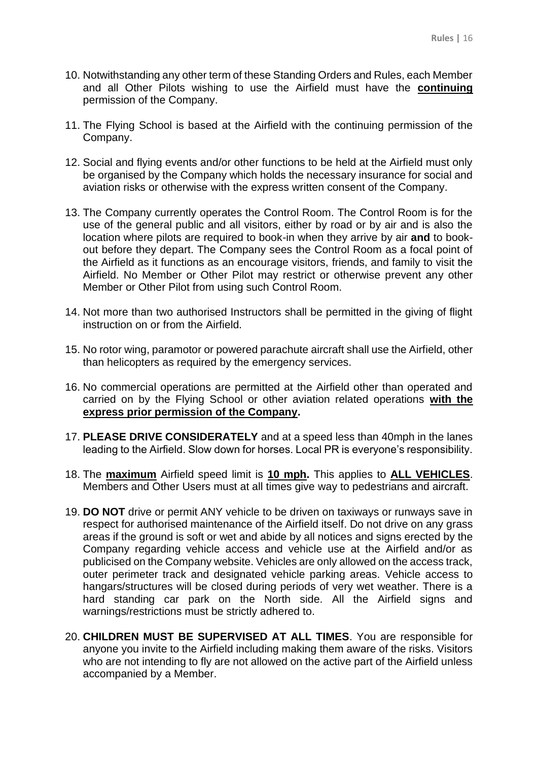- 10. Notwithstanding any other term of these Standing Orders and Rules, each Member and all Other Pilots wishing to use the Airfield must have the **continuing** permission of the Company.
- 11. The Flying School is based at the Airfield with the continuing permission of the Company.
- 12. Social and flying events and/or other functions to be held at the Airfield must only be organised by the Company which holds the necessary insurance for social and aviation risks or otherwise with the express written consent of the Company.
- 13. The Company currently operates the Control Room. The Control Room is for the use of the general public and all visitors, either by road or by air and is also the location where pilots are required to book-in when they arrive by air **and** to bookout before they depart. The Company sees the Control Room as a focal point of the Airfield as it functions as an encourage visitors, friends, and family to visit the Airfield. No Member or Other Pilot may restrict or otherwise prevent any other Member or Other Pilot from using such Control Room.
- 14. Not more than two authorised Instructors shall be permitted in the giving of flight instruction on or from the Airfield.
- 15. No rotor wing, paramotor or powered parachute aircraft shall use the Airfield, other than helicopters as required by the emergency services.
- 16. No commercial operations are permitted at the Airfield other than operated and carried on by the Flying School or other aviation related operations **with the express prior permission of the Company.**
- 17. **PLEASE DRIVE CONSIDERATELY** and at a speed less than 40mph in the lanes leading to the Airfield. Slow down for horses. Local PR is everyone's responsibility.
- 18. The **maximum** Airfield speed limit is **10 mph.** This applies to **ALL VEHICLES**. Members and Other Users must at all times give way to pedestrians and aircraft.
- 19. **DO NOT** drive or permit ANY vehicle to be driven on taxiways or runways save in respect for authorised maintenance of the Airfield itself. Do not drive on any grass areas if the ground is soft or wet and abide by all notices and signs erected by the Company regarding vehicle access and vehicle use at the Airfield and/or as publicised on the Company website. Vehicles are only allowed on the access track, outer perimeter track and designated vehicle parking areas. Vehicle access to hangars/structures will be closed during periods of very wet weather. There is a hard standing car park on the North side. All the Airfield signs and warnings/restrictions must be strictly adhered to.
- 20. **CHILDREN MUST BE SUPERVISED AT ALL TIMES**. You are responsible for anyone you invite to the Airfield including making them aware of the risks. Visitors who are not intending to fly are not allowed on the active part of the Airfield unless accompanied by a Member.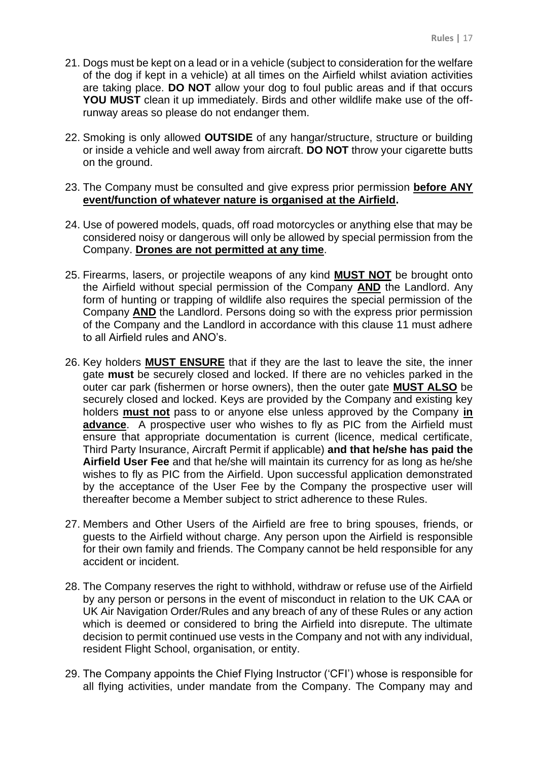- 21. Dogs must be kept on a lead or in a vehicle (subject to consideration for the welfare of the dog if kept in a vehicle) at all times on the Airfield whilst aviation activities are taking place. **DO NOT** allow your dog to foul public areas and if that occurs **YOU MUST** clean it up immediately. Birds and other wildlife make use of the offrunway areas so please do not endanger them.
- 22. Smoking is only allowed **OUTSIDE** of any hangar/structure, structure or building or inside a vehicle and well away from aircraft. **DO NOT** throw your cigarette butts on the ground.
- 23. The Company must be consulted and give express prior permission **before ANY event/function of whatever nature is organised at the Airfield.**
- 24. Use of powered models, quads, off road motorcycles or anything else that may be considered noisy or dangerous will only be allowed by special permission from the Company. **Drones are not permitted at any time**.
- 25. Firearms, lasers, or projectile weapons of any kind **MUST NOT** be brought onto the Airfield without special permission of the Company **AND** the Landlord. Any form of hunting or trapping of wildlife also requires the special permission of the Company **AND** the Landlord. Persons doing so with the express prior permission of the Company and the Landlord in accordance with this clause 11 must adhere to all Airfield rules and ANO's.
- 26. Key holders **MUST ENSURE** that if they are the last to leave the site, the inner gate **must** be securely closed and locked. If there are no vehicles parked in the outer car park (fishermen or horse owners), then the outer gate **MUST ALSO** be securely closed and locked. Keys are provided by the Company and existing key holders **must not** pass to or anyone else unless approved by the Company **in advance**. A prospective user who wishes to fly as PIC from the Airfield must ensure that appropriate documentation is current (licence, medical certificate, Third Party Insurance, Aircraft Permit if applicable) **and that he/she has paid the Airfield User Fee** and that he/she will maintain its currency for as long as he/she wishes to fly as PIC from the Airfield. Upon successful application demonstrated by the acceptance of the User Fee by the Company the prospective user will thereafter become a Member subject to strict adherence to these Rules.
- 27. Members and Other Users of the Airfield are free to bring spouses, friends, or guests to the Airfield without charge. Any person upon the Airfield is responsible for their own family and friends. The Company cannot be held responsible for any accident or incident.
- 28. The Company reserves the right to withhold, withdraw or refuse use of the Airfield by any person or persons in the event of misconduct in relation to the UK CAA or UK Air Navigation Order/Rules and any breach of any of these Rules or any action which is deemed or considered to bring the Airfield into disrepute. The ultimate decision to permit continued use vests in the Company and not with any individual, resident Flight School, organisation, or entity.
- 29. The Company appoints the Chief Flying Instructor ('CFI') whose is responsible for all flying activities, under mandate from the Company. The Company may and